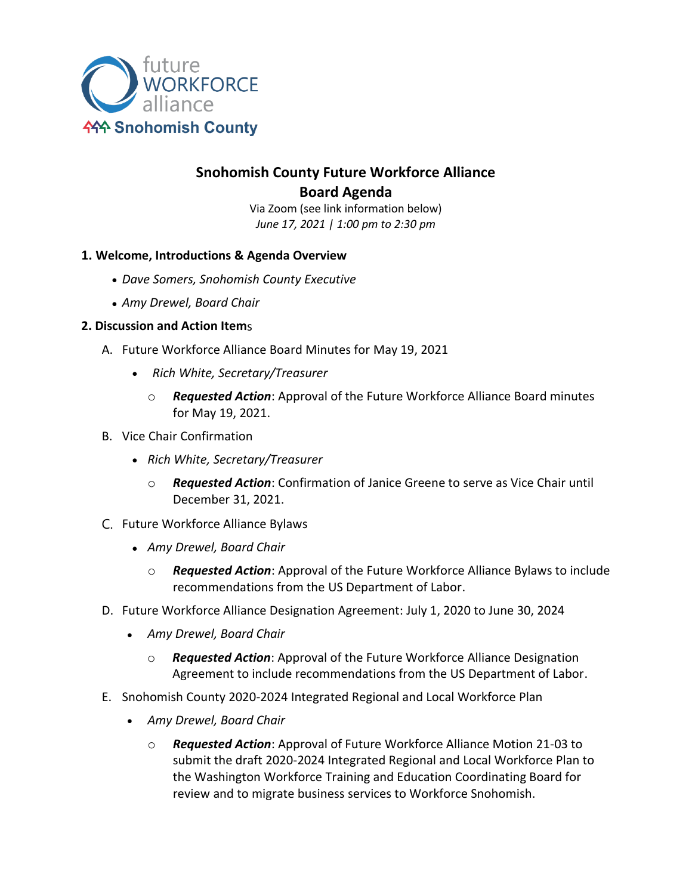

# **Snohomish County Future Workforce Alliance Board Agenda**

Via Zoom (see link information below) *June 17, 2021 | 1:00 pm to 2:30 pm*

## **1. Welcome, Introductions & Agenda Overview**

- *Dave Somers, Snohomish County Executive*
- *Amy Drewel, Board Chair*

## **2. Discussion and Action Item**s

- A. Future Workforce Alliance Board Minutes for May 19, 2021
	- *Rich White, Secretary/Treasurer*
		- o *Requested Action*: Approval of the Future Workforce Alliance Board minutes for May 19, 2021.
- B. Vice Chair Confirmation
	- *Rich White, Secretary/Treasurer*
		- o *Requested Action*: Confirmation of Janice Greene to serve as Vice Chair until December 31, 2021.
- C. Future Workforce Alliance Bylaws
	- *Amy Drewel, Board Chair*
		- o *Requested Action*: Approval of the Future Workforce Alliance Bylaws to include recommendations from the US Department of Labor.
- D. Future Workforce Alliance Designation Agreement: July 1, 2020 to June 30, 2024
	- *Amy Drewel, Board Chair*
		- o *Requested Action*: Approval of the Future Workforce Alliance Designation Agreement to include recommendations from the US Department of Labor.
- E. Snohomish County 2020-2024 Integrated Regional and Local Workforce Plan
	- *Amy Drewel, Board Chair*
		- o *Requested Action*: Approval of Future Workforce Alliance Motion 21-03 to submit the draft 2020-2024 Integrated Regional and Local Workforce Plan to the Washington Workforce Training and Education Coordinating Board for review and to migrate business services to Workforce Snohomish.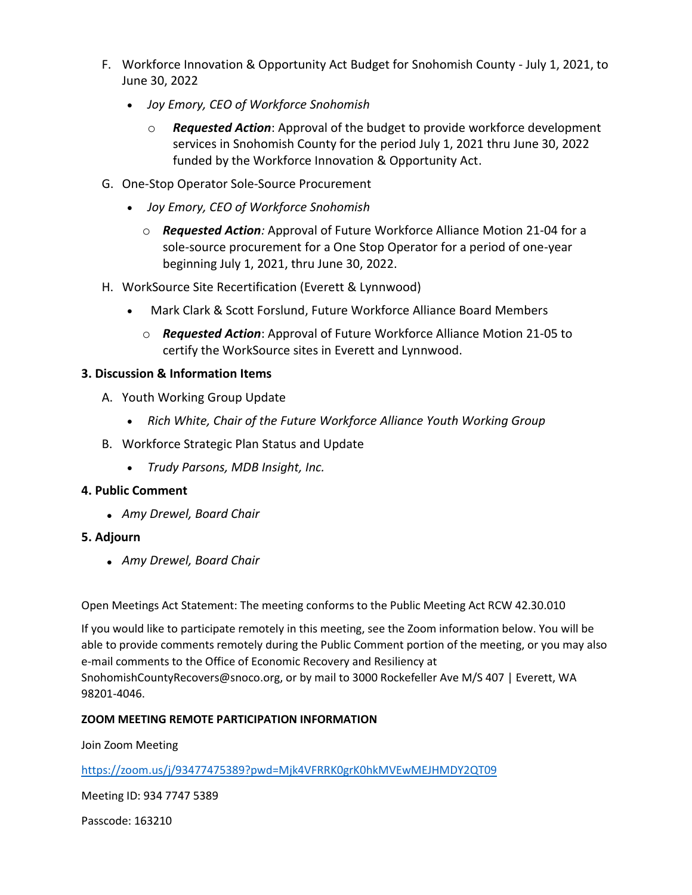- F. Workforce Innovation & Opportunity Act Budget for Snohomish County July 1, 2021, to June 30, 2022
	- *Joy Emory, CEO of Workforce Snohomish*
		- o *Requested Action*: Approval of the budget to provide workforce development services in Snohomish County for the period July 1, 2021 thru June 30, 2022 funded by the Workforce Innovation & Opportunity Act.
- G. One-Stop Operator Sole-Source Procurement
	- *Joy Emory, CEO of Workforce Snohomish*
		- o *Requested Action:* Approval of Future Workforce Alliance Motion 21-04 for a sole-source procurement for a One Stop Operator for a period of one-year beginning July 1, 2021, thru June 30, 2022.
- H. WorkSource Site Recertification (Everett & Lynnwood)
	- Mark Clark & Scott Forslund, Future Workforce Alliance Board Members
		- o *Requested Action*: Approval of Future Workforce Alliance Motion 21-05 to certify the WorkSource sites in Everett and Lynnwood.

# **3. Discussion & Information Items**

- A. Youth Working Group Update
	- *Rich White, Chair of the Future Workforce Alliance Youth Working Group*
- B. Workforce Strategic Plan Status and Update
	- *Trudy Parsons, MDB Insight, Inc.*

## **4. Public Comment**

• *Amy Drewel, Board Chair*

## **5. Adjourn**

• *Amy Drewel, Board Chair*

Open Meetings Act Statement: The meeting conforms to the Public Meeting Act RCW 42.30.010

If you would like to participate remotely in this meeting, see the Zoom information below. You will be able to provide comments remotely during the Public Comment portion of the meeting, or you may also e-mail comments to the Office of Economic Recovery and Resiliency at SnohomishCountyRecovers@snoco.org, or by mail to 3000 Rockefeller Ave M/S 407 | Everett, WA 98201-4046.

## **ZOOM MEETING REMOTE PARTICIPATION INFORMATION**

Join Zoom Meeting

<https://zoom.us/j/93477475389?pwd=Mjk4VFRRK0grK0hkMVEwMEJHMDY2QT09>

Meeting ID: 934 7747 5389

Passcode: 163210